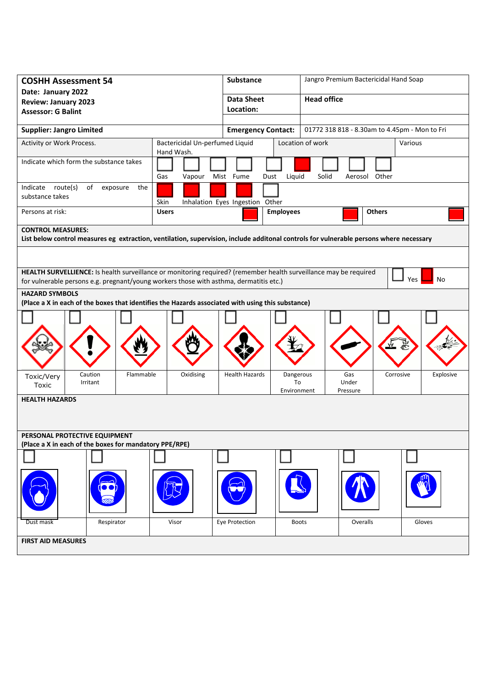| <b>COSHH Assessment 54</b>                                                                                                             | <b>Substance</b>                |                                 | Jangro Premium Bactericidal Hand Soap         |                   |               |           |  |
|----------------------------------------------------------------------------------------------------------------------------------------|---------------------------------|---------------------------------|-----------------------------------------------|-------------------|---------------|-----------|--|
| Date: January 2022                                                                                                                     | <b>Data Sheet</b>               |                                 | <b>Head office</b>                            |                   |               |           |  |
| <b>Review: January 2023</b><br><b>Assessor: G Balint</b>                                                                               | Location:                       |                                 |                                               |                   |               |           |  |
|                                                                                                                                        |                                 |                                 |                                               |                   |               |           |  |
| <b>Supplier: Jangro Limited</b>                                                                                                        | <b>Emergency Contact:</b>       |                                 | 01772 318 818 - 8.30am to 4.45pm - Mon to Fri |                   |               |           |  |
| Activity or Work Process.                                                                                                              | Bactericidal Un-perfumed Liquid |                                 | Location of work<br>Various                   |                   |               |           |  |
| Indicate which form the substance takes                                                                                                | Gas<br>Vapour                   | Mist Fume<br>Dust               | Liquid                                        | Solid             | Aerosol Other |           |  |
| route(s)<br>of<br>Indicate<br>exposure<br>the<br>substance takes                                                                       | Skin                            | Inhalation Eyes Ingestion Other |                                               |                   |               |           |  |
| Persons at risk:                                                                                                                       | <b>Users</b>                    |                                 | <b>Employees</b>                              |                   | <b>Others</b> |           |  |
| <b>CONTROL MEASURES:</b>                                                                                                               |                                 |                                 |                                               |                   |               |           |  |
| List below control measures eg extraction, ventilation, supervision, include additonal controls for vulnerable persons where necessary |                                 |                                 |                                               |                   |               |           |  |
|                                                                                                                                        |                                 |                                 |                                               |                   |               |           |  |
| HEALTH SURVELLIENCE: Is health surveillance or monitoring required? (remember health surveillance may be required                      |                                 |                                 |                                               |                   |               |           |  |
| Yes<br>No<br>for vulnerable persons e.g. pregnant/young workers those with asthma, dermatitis etc.)                                    |                                 |                                 |                                               |                   |               |           |  |
| <b>HAZARD SYMBOLS</b>                                                                                                                  |                                 |                                 |                                               |                   |               |           |  |
| (Place a X in each of the boxes that identifies the Hazards associated with using this substance)                                      |                                 |                                 |                                               |                   |               |           |  |
|                                                                                                                                        |                                 |                                 |                                               |                   |               |           |  |
|                                                                                                                                        |                                 |                                 |                                               |                   |               |           |  |
| Flammable<br>Caution<br>Toxic/Very                                                                                                     | Oxidising                       | <b>Health Hazards</b>           | Dangerous                                     | Gas               | Corrosive     | Explosive |  |
| Irritant<br>Toxic                                                                                                                      |                                 |                                 | To<br>Environment                             | Under<br>Pressure |               |           |  |
| <b>HEALTH HAZARDS</b>                                                                                                                  |                                 |                                 |                                               |                   |               |           |  |
|                                                                                                                                        |                                 |                                 |                                               |                   |               |           |  |
| PERSONAL PROTECTIVE EQUIPMENT                                                                                                          |                                 |                                 |                                               |                   |               |           |  |
| (Place a X in each of the boxes for mandatory PPE/RPE)                                                                                 |                                 |                                 |                                               |                   |               |           |  |
|                                                                                                                                        |                                 |                                 |                                               |                   |               |           |  |
|                                                                                                                                        |                                 |                                 |                                               |                   |               |           |  |
| Respirator<br>Dust mask                                                                                                                | Visor                           | Eye Protection                  | <b>Boots</b>                                  |                   | Overalls      | Gloves    |  |
| <b>FIRST AID MEASURES</b>                                                                                                              |                                 |                                 |                                               |                   |               |           |  |